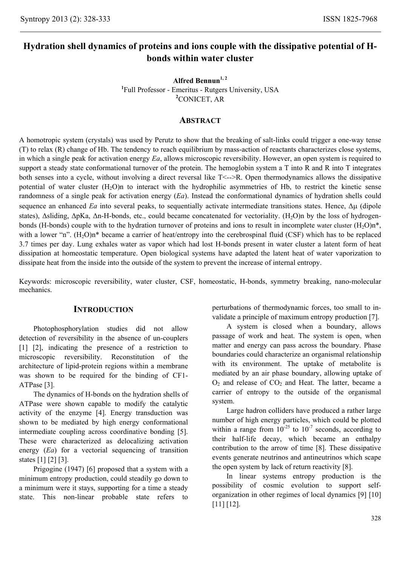# **Hydration shell dynamics of proteins and ions couple with the dissipative potential of Hbonds within water cluster**

**Alfred Bennun1, 2 1** Full Professor - Emeritus - Rutgers University, USA **2** CONICET, AR

# **ABSTRACT**

A homotropic system (crystals) was used by Perutz to show that the breaking of salt-links could trigger a one-way tense (T) to relax (R) change of Hb. The tendency to reach equilibrium by mass-action of reactants characterizes close systems, in which a single peak for activation energy *Ea*, allows microscopic reversibility. However, an open system is required to support a steady state conformational turnover of the protein. The hemoglobin system a T into R and R into T integrates both senses into a cycle, without involving a direct reversal like T<-->R. Open thermodynamics allows the dissipative potential of water cluster  $(H_2O)$ n to interact with the hydrophilic asymmetries of Hb, to restrict the kinetic sense randomness of a single peak for activation energy (*Ea*). Instead the conformational dynamics of hydration shells could sequence an enhanced *Ea* into several peaks, to sequentially activate intermediate transitions states. Hence, Δμ (dipole states), ∆sliding, ∆pKa, ∆n-H-bonds, etc., could became concatenated for vectoriality. (H<sub>2</sub>O)n by the loss of hydrogenbonds (H-bonds) couple with to the hydration turnover of proteins and ions to result in incomplete water cluster  $(H<sub>2</sub>O)n<sup>*</sup>$ , with a lower "n".  $(H_2O)n^*$  became a carrier of heat/entropy into the cerebrospinal fluid (CSF) which has to be replaced 3.7 times per day. Lung exhales water as vapor which had lost H-bonds present in water cluster a latent form of heat dissipation at homeostatic temperature. Open biological systems have adapted the latent heat of water vaporization to dissipate heat from the inside into the outside of the system to prevent the increase of internal entropy.

Keywords: microscopic reversibility, water cluster, CSF, homeostatic, H-bonds, symmetry breaking, nano-molecular mechanics.

# **INTRODUCTION**

Photophosphorylation studies did not allow detection of reversibility in the absence of un-couplers [1] [2], indicating the presence of a restriction to microscopic reversibility. Reconstitution of the architecture of lipid-protein regions within a membrane was shown to be required for the binding of CF1- ATPase [3].

The dynamics of H-bonds on the hydration shells of ATPase were shown capable to modify the catalytic activity of the enzyme [4]. Energy transduction was shown to be mediated by high energy conformational intermediate coupling across coordinative bonding [5]. These were characterized as delocalizing activation energy (*Ea*) for a vectorial sequencing of transition states [1] [2] [3].

Prigogine (1947) [6] proposed that a system with a minimum entropy production, could steadily go down to a minimum were it stays, supporting for a time a steady state. This non-linear probable state refers to perturbations of thermodynamic forces, too small to invalidate a principle of maximum entropy production [7].

A system is closed when a boundary, allows passage of work and heat. The system is open, when matter and energy can pass across the boundary. Phase boundaries could characterize an organismal relationship with its environment. The uptake of metabolite is mediated by an air phase boundary, allowing uptake of  $O<sub>2</sub>$  and release of  $CO<sub>2</sub>$  and Heat. The latter, became a carrier of entropy to the outside of the organismal system.

Large hadron colliders have produced a rather large number of high energy particles, which could be plotted within a range from  $10^{-25}$  to  $10^{-7}$  seconds, according to their half-life decay, which became an enthalpy contribution to the arrow of time [8]. These dissipative events generate neutrinos and antineutrinos which scape the open system by lack of return reactivity [8].

In linear systems entropy production is the possibility of cosmic evolution to support selforganization in other regimes of local dynamics [9] [10] [11] [12].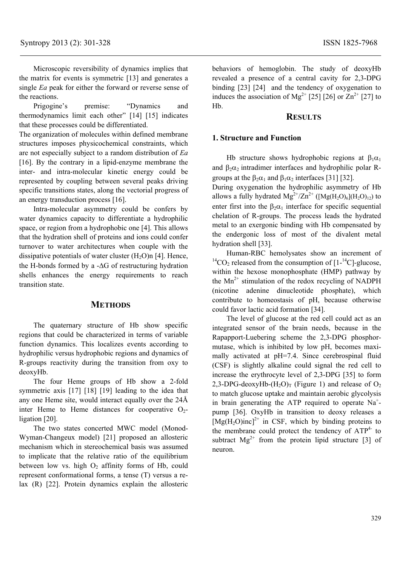Microscopic reversibility of dynamics implies that the matrix for events is symmetric [13] and generates a single *Ea* peak for either the forward or reverse sense of the reactions.

Prigogine's premise: "Dynamics and thermodynamics limit each other" [14] [15] indicates that these processes could be differentiated.

The organization of molecules within defined membrane structures imposes physicochemical constraints, which are not especially subject to a random distribution of *Ea*  [16]. By the contrary in a lipid-enzyme membrane the inter- and intra-molecular kinetic energy could be represented by coupling between several peaks driving specific transitions states, along the vectorial progress of an energy transduction process [16].

Intra-molecular asymmetry could be confers by water dynamics capacity to differentiate a hydrophilic space, or region from a hydrophobic one [4]. This allows that the hydration shell of proteins and ions could confer turnover to water architectures when couple with the dissipative potentials of water cluster  $(H<sub>2</sub>O)n$  [4]. Hence, the H-bonds formed by a -∆G of restructuring hydration shells enhances the energy requirements to reach transition state.

#### **METHODS**

The quaternary structure of Hb show specific regions that could be characterized in terms of variable function dynamics. This localizes events according to hydrophilic versus hydrophobic regions and dynamics of R-groups reactivity during the transition from oxy to deoxyHb.

The four Heme groups of Hb show a 2-fold symmetric axis [17] [18] [19] leading to the idea that any one Heme site, would interact equally over the 24Å inter Heme to Heme distances for cooperative  $O<sub>2</sub>$ ligation [20].

The two states concerted MWC model (Monod-Wyman-Changeux model) [21] proposed an allosteric mechanism which in stereochemical basis was assumed to implicate that the relative ratio of the equilibrium between low vs. high  $O<sub>2</sub>$  affinity forms of Hb, could represent conformational forms, a tense (T) versus a relax (R) [22]. Protein dynamics explain the allosteric

behaviors of hemoglobin. The study of deoxyHb revealed a presence of a central cavity for 2,3-DPG binding [23] [24] and the tendency of oxygenation to induces the association of Mg<sup>2+</sup> [25] [26] or  $\overline{Zn}^{2+}$  [27] to Hb.

## **RESULTS**

#### **1. Structure and Function**

Hb structure shows hydrophobic regions at  $\beta_1\alpha_1$ and  $\beta_2 \alpha_2$  intradimer interfaces and hydrophilic polar Rgroups at the  $\beta_2 \alpha_1$  and  $\beta_1 \alpha_2$  interfaces [31] [32].

During oxygenation the hydrophilic asymmetry of Hb allows a fully hydrated  $Mg^{2+}/Zn^{2+}$  ([Mg(H<sub>2</sub>O)<sub>6</sub>](H<sub>2</sub>O)<sub>12</sub>) to enter first into the  $\beta_2 \alpha_1$  interface for specific sequential chelation of R-groups. The process leads the hydrated metal to an exergonic binding with Hb compensated by the endergonic loss of most of the divalent metal hydration shell [33].

Human-RBC hemolysates show an increment of <sup>14</sup>CO<sub>2</sub> released from the consumption of  $[1 - {}^{14}C]$ -glucose, within the hexose monophosphate (HMP) pathway by the  $Mn^{2+}$  stimulation of the redox recycling of NADPH (nicotine adenine dinucleotide phosphate), which contribute to homeostasis of pH, because otherwise could favor lactic acid formation [34].

The level of glucose at the red cell could act as an integrated sensor of the brain needs, because in the Rapapport-Luebering scheme the 2,3-DPG phosphormutase, which is inhibited by low pH, becomes maximally activated at pH=7.4. Since cerebrospinal fluid (CSF) is slightly alkaline could signal the red cell to increase the erythrocyte level of 2,3-DPG [35] to form 2,3-DPG-deoxyHb- $(H_2O)_T$  (Figure 1) and release of  $O_2$ to match glucose uptake and maintain aerobic glycolysis in brain generating the ATP required to operate  $Na<sup>+</sup>$ pump [36]. OxyHb in transition to deoxy releases a  $[Mg(H_2O)inc]^{2+}$  in CSF, which by binding proteins to the membrane could protect the tendency of  $ATP<sup>4-</sup>$  to subtract  $Mg^{2+}$  from the protein lipid structure [3] of neuron.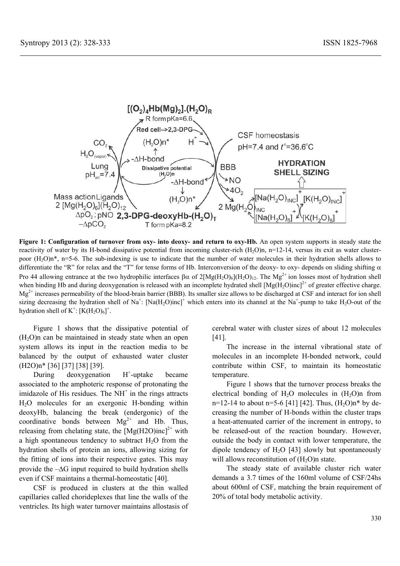

**Figure 1: Configuration of turnover from oxy- into deoxy- and return to oxy-Hb.** An open system supports in steady state the reactivity of water by its H-bond dissipative potential from incoming cluster-rich  $(H_2O)n$ ,  $n=12-14$ , versus its exit as water clusterpoor  $(H<sub>2</sub>O)n^*$ , n=5-6. The sub-indexing is use to indicate that the number of water molecules in their hydration shells allows to differentiate the "R" for relax and the "T" for tense forms of Hb. Interconversion of the deoxy- to oxy- depends on sliding shifting  $\alpha$ Pro 44 allowing entrance at the two hydrophilic interfaces  $\beta\alpha$  of  $2[Mg(H_2O)_6](H_2O)_{12}$ . The Mg<sup>2+</sup> ion losses most of hydration shell when binding Hb and during deoxygenation is released with an incomplete hydrated shell  $[Mg(H<sub>2</sub>O)inc]^{2+}$  of greater effective charge. Mg<sup>2+</sup> increases permeability of the blood-brain barrier (BBB). Its smaller size allows to be discharged at CSF and interact for ion shell sizing decreasing the hydration shell of Na<sup>+</sup>: [Na(H<sub>2</sub>O)inc]<sup>+</sup> which enters into its channel at the Na<sup>+</sup>-pump to take H<sub>2</sub>O-out of the hydration shell of  $K^+$ :  $[K(H_2O)_6]^+$ .

Figure 1 shows that the dissipative potential of  $(H<sub>2</sub>O)n$  can be maintained in steady state when an open system allows its input in the reaction media to be balanced by the output of exhausted water cluster (H2O)n\* [36] [37] [38] [39].

During deoxygenation  $H^+$ -uptake became associated to the amphoteric response of protonating the imidazole of His residues. The  $NH<sup>+</sup>$  in the rings attracts H2O molecules for an exergonic H-bonding within deoxyHb, balancing the break (endergonic) of the coordinative bonds between  $Mg^{2+}$  and Hb. Thus, releasing from chelating state, the  $[Mg(H2O)inc]^{2+}$  with a high spontaneous tendency to subtract  $H_2O$  from the hydration shells of protein an ions, allowing sizing for the fitting of ions into their respective gates. This may provide the  $-\Delta G$  input required to build hydration shells even if CSF maintains a thermal-homeostatic [40].

CSF is produced in clusters at the thin walled capillaries called chorideplexes that line the walls of the ventricles. Its high water turnover maintains allostasis of cerebral water with cluster sizes of about 12 molecules [41].

The increase in the internal vibrational state of molecules in an incomplete H-bonded network, could contribute within CSF, to maintain its homeostatic temperature.

Figure 1 shows that the turnover process breaks the electrical bonding of  $H_2O$  molecules in  $(H_2O)$ n from n=12-14 to about n=5-6 [41] [42]. Thus,  $(H_2O)n*$  by decreasing the number of H-bonds within the cluster traps a heat-attenuated carrier of the increment in entropy, to be released-out of the reaction boundary. However, outside the body in contact with lower temperature, the dipole tendency of  $H_2O$  [43] slowly but spontaneously will allows reconstitution of  $(H<sub>2</sub>O)$ n state.

The steady state of available cluster rich water demands a 3.7 times of the 160ml volume of CSF/24hs about 600ml of CSF, matching the brain requirement of 20% of total body metabolic activity.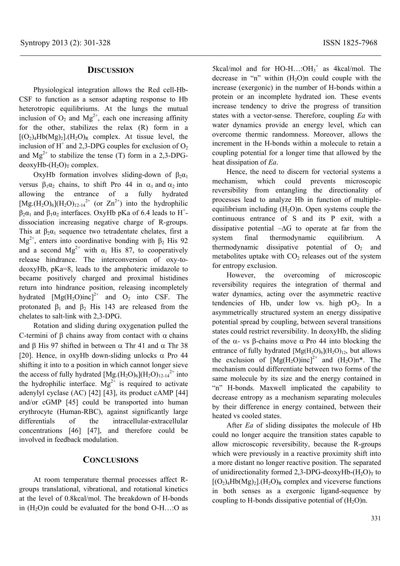## **DISCUSSION**

Physiological integration allows the Red cell-Hb-CSF to function as a sensor adapting response to Hb heterotropic equilibriums. At the lungs the mutual inclusion of  $O_2$  and  $Mg^{2+}$ , each one increasing affinity for the other, stabilizes the relax (R) form in a  $[(O<sub>2</sub>)<sub>4</sub>Hb(Mg)<sub>2</sub>].(H<sub>2</sub>O)<sub>R</sub>$  complex. At tissue level, the inclusion of  $H^+$  and 2,3-DPG couples for exclusion of  $O_2$ and  $Mg^{2+}$  to stabilize the tense (T) form in a 2,3-DPG $deoxyHb-(H<sub>2</sub>O)<sub>T</sub> complex.$ 

OxyHb formation involves sliding-down of  $\beta_2\alpha_1$ versus  $\beta_1 \alpha_2$  chains, to shift Pro 44 in  $\alpha_1$  and  $\alpha_2$  into allowing the entrance of a fully hydrated  $[Mg.(H_2O)_6](H_2O)_{12-14}$ <sup>2+</sup> (or  $Zn^{2+}$ ) into the hydrophilic  $\beta_2 \alpha_1$  and  $\beta_1 \alpha_2$  interfaces. OxyHb pKa of 6.4 leads to H<sup>+</sup>dissociation increasing negative charge of R-groups. This at  $\beta_2\alpha_1$  sequence two tetradentate chelates, first a  $Mg<sup>2+</sup>$ , enters into coordinative bonding with β<sub>2</sub> His 92 and a second  $Mg^{2+}$  with  $\alpha_1$  His 87, to cooperatively release hindrance. The interconversion of oxy-todeoxyHb, pKa=8, leads to the amphoteric imidazole to became positively charged and proximal histidines return into hindrance position, releasing incompletely hydrated  $[Mg(H_2O)inc]^{2+}$  and  $O_2$  into CSF. The protonated  $\beta_1$  and  $\beta_2$  His 143 are released from the chelates to salt-link with 2,3-DPG.

Rotation and sliding during oxygenation pulled the C-termini of β chains away from contact with  $\alpha$  chains and β His 97 shifted in between  $\alpha$  Thr 41 and  $\alpha$  Thr 38 [20]. Hence, in oxyHb down-sliding unlocks  $\alpha$  Pro 44 shifting it into to a position in which cannot longer sieve the access of fully hydrated  $[Mg.(H_2O)_6](H_2O)_{12\cdot14}^2$  into the hydrophilic interface.  $Mg^{2+}$  is required to activate adenylyl cyclase (AC) [42] [43], its product cAMP [44] and/or cGMP [45] could be transported into human erythrocyte (Human-RBC), against significantly large differentials of the intracellular-extracellular concentrations [46] [47], and therefore could be involved in feedback modulation.

# **CONCLUSIONS**

At room temperature thermal processes affect Rgroups translational, vibrational, and rotational kinetics at the level of 0.8kcal/mol. The breakdown of H-bonds in  $(H<sub>2</sub>O)n$  could be evaluated for the bond  $O-H...O$  as

 $5kcal/mol$  and for  $HO-H$ ...: $OH_3^+$  as  $4kcal/mol$ . The decrease in "n" within  $(H<sub>2</sub>O)n$  could couple with the increase (exergonic) in the number of H-bonds within a protein or an incomplete hydrated ion. These events increase tendency to drive the progress of transition states with a vector-sense. Therefore, coupling *Ea* with water dynamics provide an energy level, which can overcome thermic randomness. Moreover, allows the increment in the H-bonds within a molecule to retain a coupling potential for a longer time that allowed by the heat dissipation of *Ea*.

Hence, the need to discern for vectorial systems a mechanism, which could prevents microscopic reversibility from entangling the directionality of processes lead to analyze Hb in function of multipleequilibrium including  $(H_2O)n$ . Open systems couple the continuous entrance of S and its P exit, with a dissipative potential –∆G to operate at far from the system final thermodynamic equilibrium. A thermodynamic dissipative potential of  $O<sub>2</sub>$  and metabolites uptake with  $CO<sub>2</sub>$  releases out of the system for entropy exclusion.

However, the overcoming of microscopic reversibility requires the integration of thermal and water dynamics, acting over the asymmetric reactive tendencies of Hb, under low vs. high  $pO<sub>2</sub>$ . In a asymmetrically structured system an energy dissipative potential spread by coupling, between several transitions states could restrict reversibility. In deoxyHb, the sliding of the α- vs β-chains move α Pro 44 into blocking the entrance of fully hydrated  $[Mg(H_2O)_6](H_2O)_{12}$ , but allows the exclusion of  $[Mg(H<sub>2</sub>O)inc]^{2+}$  and  $(H<sub>2</sub>O)n<sup>*</sup>$ . The mechanism could differentiate between two forms of the same molecule by its size and the energy contained in "n" H-bonds. Maxwell implicated the capability to decrease entropy as a mechanism separating molecules by their difference in energy contained, between their heated vs cooled states.

After *Ea* of sliding dissipates the molecule of Hb could no longer acquire the transition states capable to allow microscopic reversibility, because the R-groups which were previously in a reactive proximity shift into a more distant no longer reactive position. The separated of unidirectionality formed 2,3-DPG-deoxyHb- $(H_2O)_T$  to  $[(O<sub>2</sub>)<sub>4</sub>Hb(Mg)<sub>2</sub>].(H<sub>2</sub>O)<sub>R</sub> complex and viceverse functions$ in both senses as a exergonic ligand-sequence by coupling to H-bonds dissipative potential of  $(H_2O)n$ .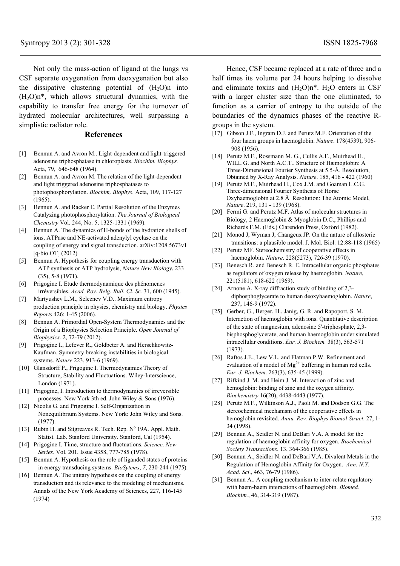Not only the mass-action of ligand at the lungs vs CSF separate oxygenation from deoxygenation but also the dissipative clustering potential of  $(H<sub>2</sub>O)n$  into  $(H<sub>2</sub>O)n*$ , which allows structural dynamics, with the capability to transfer free energy for the turnover of hydrated molecular architectures, well surpassing a simplistic radiator role.

#### **References**

- [1] Bennun A. and Avron M.. Light-dependent and light-triggered adenosine triphosphatase in chloroplasts. *Biochim. Biophys.* Acta, 79, 646-648 (1964).
- [2] Bennun A. and Avron M. The relation of the light-dependent and light triggered adenosine triphosphatases to photophosphorylation. *Biochim, Biophys*. Acta, 109, 117-127 (1965).
- [3] Bennun A. and Racker E. Partial Resolution of the Enzymes Catalyzing photophosphorylation. *The Journal of Biological Chemistry* Vol. 244, No. 5, 1325-1331 (1969).
- [4] Bennun A. The dynamics of H-bonds of the hydration shells of ions, ATPase and NE-activated adenylyl cyclase on the coupling of energy and signal transduction. arXiv:1208.5673v1 [q-bio.OT] (2012)
- [5] Bennun A. Hypothesis for coupling energy transduction with ATP synthesis or ATP hydrolysis, *Nature New Biology*, 233 (35), 5-8 (1971).
- [6] Prigogine I. Etude thermodynamique des phénomenes irréversibles. *Acad. Roy. Belg. Bull. Cl. Sc.* 31, 600 (1945).
- [7] Martyushev L.M., Seleznev V.D.. Maximum entropy production principle in physics, chemistry and biology. *Physics Reports* 426: 1-45 (2006).
- [8] Bennun A. Primordial Open-System Thermodynamics and the Origin of a Biophysics Selection Principle. *Open Journal of Biophysics*. 2, 72-79 (2012).
- [9] Prigogine I., Lefever R., Goldbeter A. and Herschkowitz-Kaufman. Symmetry breaking instabilities in biological systems. *Nature* 223, 913-6 (1969).
- [10] Glansdorff P., Prigogine I. Thermodynamics Theory of Structure, Stability and Fluctuations. Wiley-Interscience, London (1971).
- [11**]** Prigogine, I. Introduction to thermodynamics of irreversible processes. New York 3th ed. John Wiley & Sons (1976).
- [12] Nicolis G. and Prigogine I. Self-Organization in Nonequilibrium Systems. New York: John Wiley and Sons. (1977).
- [13] Rubin H. and Sitgreaves R. Tech. Rep. N° 19A. Appl. Math. Statist. Lab. Stanford University. Stanford, Cal (1954).
- [14] Prigogine I. Time, structure and fluctuations. *Science, New Series*. Vol. 201, Issue 4358, 777-785 (1978).
- [15] Bennun A. Hypothesis on the role of liganded states of proteins in energy transducing systems. *BioSytems*, *7*, 230-244 (1975).
- [16] Bennun A. The unitary hypothesis on the coupling of energy transduction and its relevance to the modeling of mechanisms. Annals of the New York Academy of Sciences, 227, 116-145 (1974)

Hence, CSF became replaced at a rate of three and a half times its volume per 24 hours helping to dissolve and eliminate toxins and  $(H_2O)n^*$ .  $H_2O$  enters in CSF with a larger cluster size than the one eliminated, to function as a carrier of entropy to the outside of the boundaries of the dynamics phases of the reactive Rgroups in the system.

- [17] Gibson J.F., Ingram D.J. and Perutz M.F. Orientation of the four haem groups in haemoglobin. *Nature*. 178(4539), 906- 908 (1956).
- [18] Perutz M.F., Rossmann M. G., Cullis A.F., Muirhead H., WILL G. and North A.C.T.. Structure of Hæmoglobin: A Three-Dimensional Fourier Synthesis at 5.5-Å. Resolution, Obtained by X-Ray Analysis. *Nature*. 185, 416 - 422 (1960)
- [19] Perutz M.F., Muirhead H., Cox J.M. and Goaman L.C.G. Three-dimensional Fourier Synthesis of Horse Oxyhaemoglobin at 2.8 Å Resolution: The Atomic Model, *Nature*. 219, 131 - 139 (1968).
- [20] Fermi G. and Perutz M.F. Atlas of molecular structures in Biology, 2 Haemoglobin & Myoglobin D.C., Phillips and Richards F.M. (Eds.) Clarendon Press, Oxford (1982).
- [21] Monod J, Wyman J, Changeux JP. On the nature of allosteric transitions: a plausible model. J. Mol. Biol. 12:88-118 (1965)
- [22] Perutz MF. Stereochemistry of cooperative effects in haemoglobin. *Nature*. 228(5273), 726-39 (1970).
- [23] Benesch R. and Benesch R. E. Intracellular organic phosphates as regulators of oxygen release by haemoglobin. *Nature*, 221(5181), 618-622 (1969).
- [24] Arnone A. X-ray diffraction study of binding of 2,3diphosphoglycerate to human deoxyhaemoglobin. *Nature*, 237, 146-9 (1972).
- [25] Gerber, G., Berger, H., Janig, G. R. and Rapoport, S. M. Interaction of haemoglobin with ions. Quantitative description of the state of magnesium, adenosine 5'-triphosphate, 2,3 bisphosphoglycerate, and human haemoglobin under simulated intracellular conditions. *Eur. J. Biochem.* 38(3), 563-571 (1973).
- [26] Raftos J.E., Lew V.L. and Flatman P.W. Refinement and evaluation of a model of  $Mg^{2+}$  buffering in human red cells. *Eur. J. Biochem*. 263(3), 635-45 (1999).
- [27] Rifkind J. M. and Heim J. M. Interaction of zinc and hemoglobin: binding of zinc and the oxygen affinity. *Biochemistry* 16(20), 4438-4443 (1977).
- [28] Perutz M.F., Wilkinson A.J., Paoli M. and Dodson G.G. The stereochemical mechanism of the cooperative effects in hemoglobin revisited. *Annu. Rev. Biophys Biomol Struct*. 27, 1- 34 (1998).
- [29] Bennun A., Seidler N. and DeBari V.A. A model for the regulation of haemoglobin affinity for oxygen. *Biochemical Society Transactions*, 13, 364-366 (1985).
- [30] Bennun A., Seidler N. and DeBari V.A. Divalent Metals in the Regulation of Hemoglobin Affinity for Oxygen. *Ann. N.Y. Acad. Sci*., 463, 76-79 (1986).
- [31] Bennun A.. A coupling mechanism to inter-relate regulatory with haem-haem interactions of haemoglobin. *Biomed. Biochim.*, 46, 314-319 (1987).